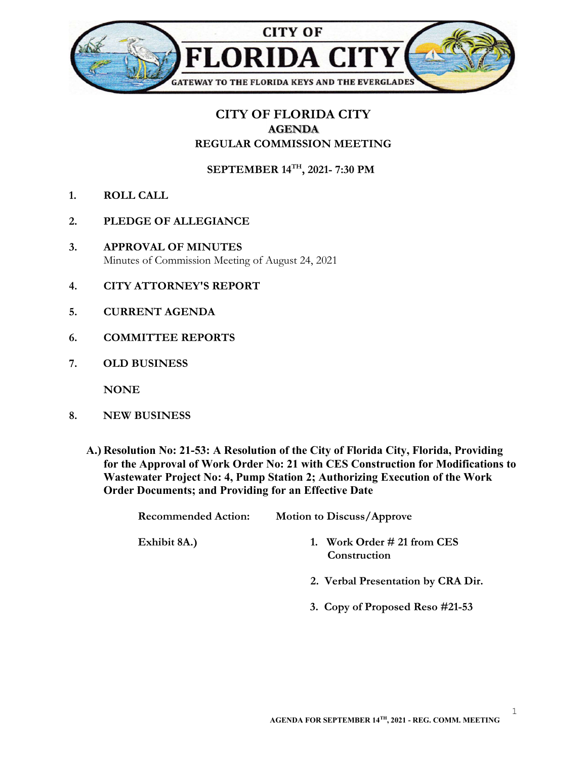

## CITY OF FLORIDA CITY AGENDA REGULAR COMMISSION MEETING

SEPTEMBER 14TH, 2021- 7:30 PM

- 1. ROLL CALL
- 2. PLEDGE OF ALLEGIANCE
- 3. APPROVAL OF MINUTES Minutes of Commission Meeting of August 24, 2021
- 4. CITY ATTORNEY'S REPORT
- 5. CURRENT AGENDA
- 6. COMMITTEE REPORTS
- 7. OLD BUSINESS

**NONE** 

- 8. NEW BUSINESS
	- A.) Resolution No: 21-53: A Resolution of the City of Florida City, Florida, Providing for the Approval of Work Order No: 21 with CES Construction for Modifications to Wastewater Project No: 4, Pump Station 2; Authorizing Execution of the Work Order Documents; and Providing for an Effective Date

Recommended Action: Motion to Discuss/Approve

- Exhibit 8A.) 1. Work Order # 21 from CES **Construction** 
	- 2. Verbal Presentation by CRA Dir.
	- 3. Copy of Proposed Reso #21-53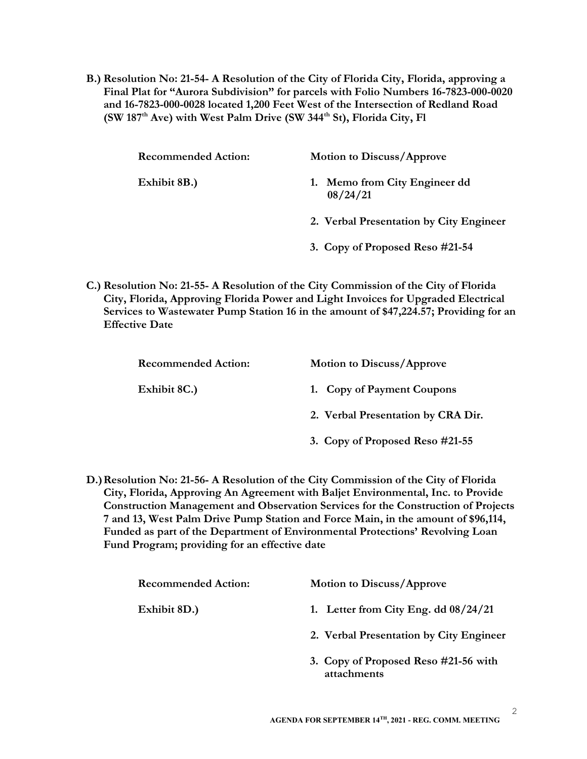B.) Resolution No: 21-54- A Resolution of the City of Florida City, Florida, approving a Final Plat for "Aurora Subdivision" for parcels with Folio Numbers 16-7823-000-0020 and 16-7823-000-0028 located 1,200 Feet West of the Intersection of Redland Road (SW 187<sup>th</sup> Ave) with West Palm Drive (SW 344<sup>th</sup> St), Florida City, Fl

| <b>Recommended Action:</b> | <b>Motion to Discuss/Approve</b>          |
|----------------------------|-------------------------------------------|
| Exhibit 8B.)               | 1. Memo from City Engineer dd<br>08/24/21 |
|                            | 2. Verbal Presentation by City Engineer   |
|                            | 3. Copy of Proposed Reso #21-54           |

C.) Resolution No: 21-55- A Resolution of the City Commission of the City of Florida City, Florida, Approving Florida Power and Light Invoices for Upgraded Electrical Services to Wastewater Pump Station 16 in the amount of \$47,224.57; Providing for an Effective Date

| <b>Recommended Action:</b> | <b>Motion to Discuss/Approve</b>   |
|----------------------------|------------------------------------|
| Exhibit 8C.)               | 1. Copy of Payment Coupons         |
|                            | 2. Verbal Presentation by CRA Dir. |
|                            | 3. Copy of Proposed Reso #21-55    |

D.) Resolution No: 21-56- A Resolution of the City Commission of the City of Florida City, Florida, Approving An Agreement with Baljet Environmental, Inc. to Provide Construction Management and Observation Services for the Construction of Projects 7 and 13, West Palm Drive Pump Station and Force Main, in the amount of \$96,114, Funded as part of the Department of Environmental Protections' Revolving Loan Fund Program; providing for an effective date

| <b>Recommended Action:</b> | <b>Motion to Discuss/Approve</b>                    |
|----------------------------|-----------------------------------------------------|
| Exhibit 8D.)               | 1. Letter from City Eng. dd $08/24/21$              |
|                            | 2. Verbal Presentation by City Engineer             |
|                            | 3. Copy of Proposed Reso #21-56 with<br>attachments |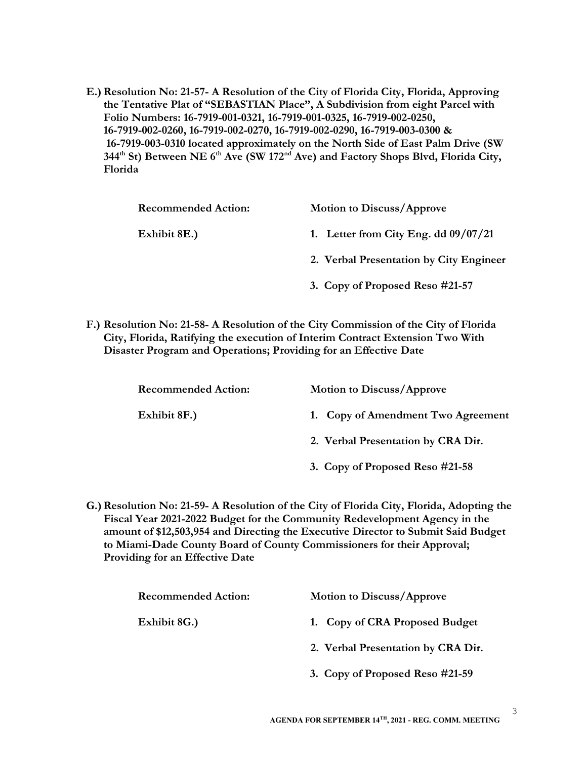E.) Resolution No: 21-57- A Resolution of the City of Florida City, Florida, Approving the Tentative Plat of "SEBASTIAN Place", A Subdivision from eight Parcel with Folio Numbers: 16-7919-001-0321, 16-7919-001-0325, 16-7919-002-0250, 16-7919-002-0260, 16-7919-002-0270, 16-7919-002-0290, 16-7919-003-0300 & 16-7919-003-0310 located approximately on the North Side of East Palm Drive (SW 344<sup>th</sup> St) Between NE 6<sup>th</sup> Ave (SW 172<sup>nd</sup> Ave) and Factory Shops Blvd, Florida City, Florida

| <b>Recommended Action:</b> | <b>Motion to Discuss/Approve</b>        |
|----------------------------|-----------------------------------------|
| Exhibit 8E.)               | 1. Letter from City Eng. dd $09/07/21$  |
|                            | 2. Verbal Presentation by City Engineer |
|                            | 3. Copy of Proposed Reso #21-57         |

F.) Resolution No: 21-58- A Resolution of the City Commission of the City of Florida City, Florida, Ratifying the execution of Interim Contract Extension Two With Disaster Program and Operations; Providing for an Effective Date

| <b>Recommended Action:</b> | <b>Motion to Discuss/Approve</b>   |
|----------------------------|------------------------------------|
| Exhibit 8F.)               | 1. Copy of Amendment Two Agreement |
|                            | 2. Verbal Presentation by CRA Dir. |
|                            | 3. Copy of Proposed Reso #21-58    |

G.)Resolution No: 21-59- A Resolution of the City of Florida City, Florida, Adopting the Fiscal Year 2021-2022 Budget for the Community Redevelopment Agency in the amount of \$12,503,954 and Directing the Executive Director to Submit Said Budget to Miami-Dade County Board of County Commissioners for their Approval; Providing for an Effective Date

| <b>Recommended Action:</b> | <b>Motion to Discuss/Approve</b>   |
|----------------------------|------------------------------------|
| Exhibit 8G.)               | 1. Copy of CRA Proposed Budget     |
|                            | 2. Verbal Presentation by CRA Dir. |
|                            | 3. Copy of Proposed Reso #21-59    |